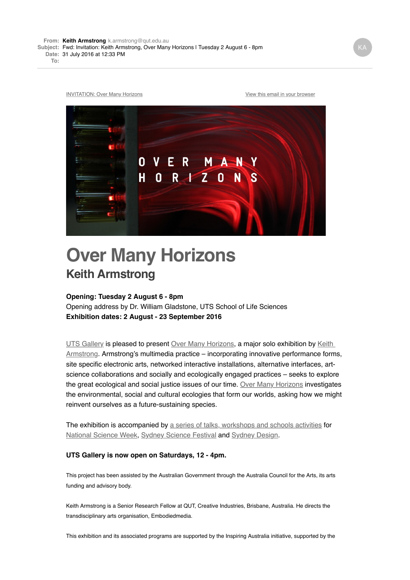[INVITATION: Over Many Horizons](http://uts.us2.list-manage.com/track/click?u=5e308ae3ef50d68c1645f6f20&id=58fb26c080&e=71497e6071) [View this email in your browser](http://us2.campaign-archive2.com/?u=5e308ae3ef50d68c1645f6f20&id=f0937f712f&e=71497e6071)



## **Over Many Horizons Keith Armstrong**

## **Opening: Tuesday 2 August 6 - 8pm**

Opening address by Dr. William Gladstone, UTS School of Life Sciences **Exhibition dates: 2 August - 23 September 2016**

[UTS Gallery](http://uts.us2.list-manage.com/track/click?u=5e308ae3ef50d68c1645f6f20&id=aee900a9d7&e=71497e6071) is pleased to present [Over Many Horizons,](http://uts.us2.list-manage.com/track/click?u=5e308ae3ef50d68c1645f6f20&id=740dc155ad&e=71497e6071) a major solo exhibition by Keith [Armstrong. Armstrong's multimedia practice – incorporating innovative performance form](http://uts.us2.list-manage.com/track/click?u=5e308ae3ef50d68c1645f6f20&id=4a338dda56&e=71497e6071)s, site specific electronic arts, networked interactive installations, alternative interfaces, artscience collaborations and socially and ecologically engaged practices – seeks to explore the great ecological and social justice issues of our time. [Over Many Horizons](http://uts.us2.list-manage1.com/track/click?u=5e308ae3ef50d68c1645f6f20&id=875c4a86f2&e=71497e6071) investigates the environmental, social and cultural ecologies that form our worlds, asking how we might reinvent ourselves as a future-sustaining species.

The exhibition is accompanied by [a series of talks, workshops and schools activities](http://uts.us2.list-manage.com/track/click?u=5e308ae3ef50d68c1645f6f20&id=92491a6b16&e=71497e6071) for [National Science Week,](http://uts.us2.list-manage1.com/track/click?u=5e308ae3ef50d68c1645f6f20&id=7ec95e50d2&e=71497e6071) [Sydney Science Festival](http://uts.us2.list-manage.com/track/click?u=5e308ae3ef50d68c1645f6f20&id=13f9369cbc&e=71497e6071) and [Sydney Design.](http://uts.us2.list-manage1.com/track/click?u=5e308ae3ef50d68c1645f6f20&id=9e4ec4258e&e=71497e6071)

## **UTS Gallery is now open on Saturdays, 12 - 4pm.**

This project has been assisted by the Australian Government through the Australia Council for the Arts, its arts funding and advisory body.

Keith Armstrong is a Senior Research Fellow at QUT, Creative Industries, Brisbane, Australia. He directs the transdisciplinary arts organisation, Embodiedmedia.

This exhibition and its associated programs are supported by the Inspiring Australia initiative, supported by the